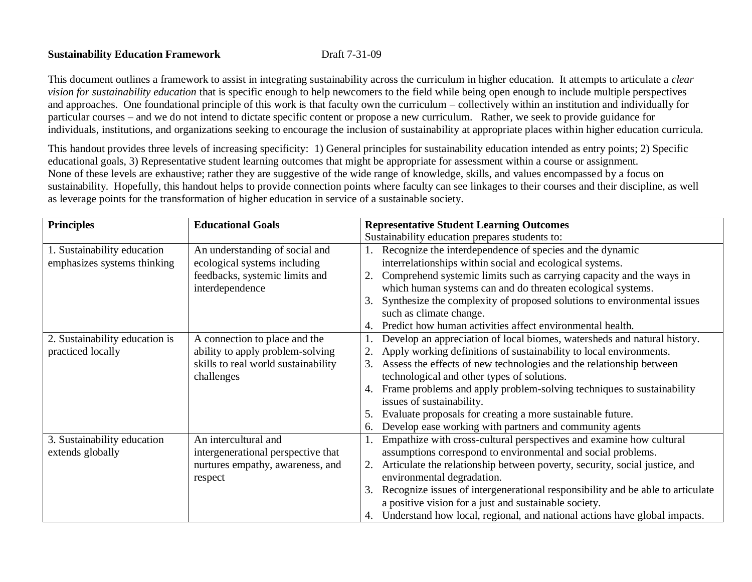## **Sustainability Education Framework** Draft 7-31-09

This document outlines a framework to assist in integrating sustainability across the curriculum in higher education. It attempts to articulate a *clear vision for sustainability education* that is specific enough to help newcomers to the field while being open enough to include multiple perspectives and approaches. One foundational principle of this work is that faculty own the curriculum – collectively within an institution and individually for particular courses – and we do not intend to dictate specific content or propose a new curriculum. Rather, we seek to provide guidance for individuals, institutions, and organizations seeking to encourage the inclusion of sustainability at appropriate places within higher education curricula.

This handout provides three levels of increasing specificity: 1) General principles for sustainability education intended as entry points; 2) Specific educational goals, 3) Representative student learning outcomes that might be appropriate for assessment within a course or assignment. None of these levels are exhaustive; rather they are suggestive of the wide range of knowledge, skills, and values encompassed by a focus on sustainability. Hopefully, this handout helps to provide connection points where faculty can see linkages to their courses and their discipline, as well as leverage points for the transformation of higher education in service of a sustainable society.

| <b>Principles</b>              | <b>Educational Goals</b>            | <b>Representative Student Learning Outcomes</b>                                      |
|--------------------------------|-------------------------------------|--------------------------------------------------------------------------------------|
|                                |                                     | Sustainability education prepares students to:                                       |
| 1. Sustainability education    | An understanding of social and      | 1. Recognize the interdependence of species and the dynamic                          |
| emphasizes systems thinking    | ecological systems including        | interrelationships within social and ecological systems.                             |
|                                | feedbacks, systemic limits and      | Comprehend systemic limits such as carrying capacity and the ways in<br>2.           |
|                                | interdependence                     | which human systems can and do threaten ecological systems.                          |
|                                |                                     | Synthesize the complexity of proposed solutions to environmental issues<br>3.        |
|                                |                                     | such as climate change.                                                              |
|                                |                                     | Predict how human activities affect environmental health.<br>4.                      |
| 2. Sustainability education is | A connection to place and the       | Develop an appreciation of local biomes, watersheds and natural history.             |
| practiced locally              | ability to apply problem-solving    | Apply working definitions of sustainability to local environments.                   |
|                                | skills to real world sustainability | Assess the effects of new technologies and the relationship between<br>3.            |
|                                | challenges                          | technological and other types of solutions.                                          |
|                                |                                     | 4. Frame problems and apply problem-solving techniques to sustainability             |
|                                |                                     | issues of sustainability.                                                            |
|                                |                                     | Evaluate proposals for creating a more sustainable future.<br>5.                     |
|                                |                                     | Develop ease working with partners and community agents<br>6.                        |
| 3. Sustainability education    | An intercultural and                | Empathize with cross-cultural perspectives and examine how cultural                  |
| extends globally               | intergenerational perspective that  | assumptions correspond to environmental and social problems.                         |
|                                | nurtures empathy, awareness, and    | Articulate the relationship between poverty, security, social justice, and<br>2.     |
|                                | respect                             | environmental degradation.                                                           |
|                                |                                     | Recognize issues of intergenerational responsibility and be able to articulate<br>3. |
|                                |                                     | a positive vision for a just and sustainable society.                                |
|                                |                                     | 4. Understand how local, regional, and national actions have global impacts.         |